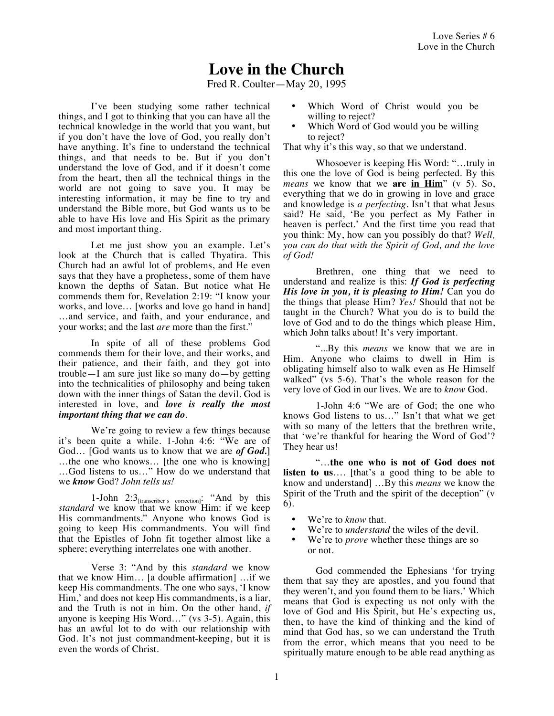## **Love in the Church**

Fred R. Coulter—May 20, 1995

I've been studying some rather technical things, and I got to thinking that you can have all the technical knowledge in the world that you want, but if you don't have the love of God, you really don't have anything. It's fine to understand the technical things, and that needs to be. But if you don't understand the love of God, and if it doesn't come from the heart, then all the technical things in the world are not going to save you. It may be interesting information, it may be fine to try and understand the Bible more, but God wants us to be able to have His love and His Spirit as the primary and most important thing.

Let me just show you an example. Let's look at the Church that is called Thyatira. This Church had an awful lot of problems, and He even says that they have a prophetess, some of them have known the depths of Satan. But notice what He commends them for, Revelation 2:19: "I know your works, and love… [works and love go hand in hand] …and service, and faith, and your endurance, and your works; and the last *are* more than the first."

In spite of all of these problems God commends them for their love, and their works, and their patience, and their faith, and they got into trouble—I am sure just like so many do—by getting into the technicalities of philosophy and being taken down with the inner things of Satan the devil. God is interested in love, and *love is really the most important thing that we can do*.

We're going to review a few things because it's been quite a while. 1-John 4:6: "We are of God… [God wants us to know that we are *of God.*] …the one who knows… [the one who is knowing] …God listens to us…" How do we understand that we *know* God? *John tells us!*

1-John 2:3<sub>[transcriber's correction]</sub>: "And by this *standard* we know that we know Him: if we keep His commandments." Anyone who knows God is going to keep His commandments. You will find that the Epistles of John fit together almost like a sphere; everything interrelates one with another.

Verse 3: "And by this *standard* we know that we know Him… [a double affirmation] …if we keep His commandments. The one who says, 'I know Him,' and does not keep His commandments, is a liar, and the Truth is not in him. On the other hand, *if* anyone is keeping His Word…" (vs 3-5). Again, this has an awful lot to do with our relationship with God. It's not just commandment-keeping, but it is even the words of Christ.

- Which Word of Christ would you be willing to reject?
- Which Word of God would you be willing to reject?

That why it's this way, so that we understand.

Whosoever is keeping His Word: "…truly in this one the love of God is being perfected. By this *means* we know that we **are in Him**" (v 5). So, everything that we do in growing in love and grace and knowledge is *a perfecting*. Isn't that what Jesus said? He said, 'Be you perfect as My Father in heaven is perfect.' And the first time you read that you think: My, how can you possibly do that? *Well, you can do that with the Spirit of God, and the love of God!*

Brethren, one thing that we need to understand and realize is this: *If God is perfecting His love in you, it is pleasing to Him!* Can you do the things that please Him? *Yes!* Should that not be taught in the Church? What you do is to build the love of God and to do the things which please Him, which John talks about! It's very important.

"...By this *means* we know that we are in Him. Anyone who claims to dwell in Him is obligating himself also to walk even as He Himself walked" (vs 5-6). That's the whole reason for the very love of God in our lives. We are to *know* God.

1-John 4:6 "We are of God; the one who knows God listens to us…" Isn't that what we get with so many of the letters that the brethren write, that 'we're thankful for hearing the Word of God'? They hear us!

"…**the one who is not of God does not listen to us**…. [that's a good thing to be able to know and understand] …By this *means* we know the Spirit of the Truth and the spirit of the deception" (v 6).

- We're to *know* that.<br>• We're to *understand*
- We're to *understand* the wiles of the devil.
- We're to *prove* whether these things are so or not.

God commended the Ephesians 'for trying them that say they are apostles, and you found that they weren't, and you found them to be liars.' Which means that God is expecting us not only with the love of God and His Spirit, but He's expecting us, then, to have the kind of thinking and the kind of mind that God has, so we can understand the Truth from the error, which means that you need to be spiritually mature enough to be able read anything as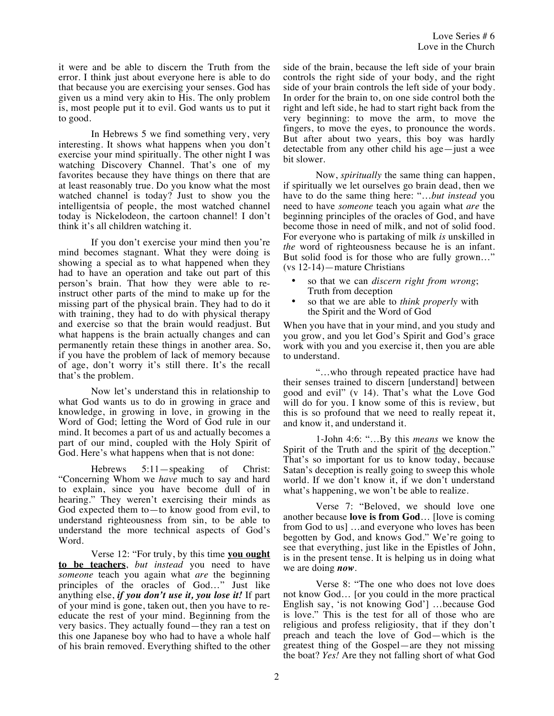it were and be able to discern the Truth from the error. I think just about everyone here is able to do that because you are exercising your senses. God has given us a mind very akin to His. The only problem is, most people put it to evil. God wants us to put it to good.

In Hebrews 5 we find something very, very interesting. It shows what happens when you don't exercise your mind spiritually. The other night I was watching Discovery Channel. That's one of my favorites because they have things on there that are at least reasonably true. Do you know what the most watched channel is today? Just to show you the intelligentsia of people, the most watched channel today is Nickelodeon, the cartoon channel! I don't think it's all children watching it.

If you don't exercise your mind then you're mind becomes stagnant. What they were doing is showing a special as to what happened when they had to have an operation and take out part of this person's brain. That how they were able to reinstruct other parts of the mind to make up for the missing part of the physical brain. They had to do it with training, they had to do with physical therapy and exercise so that the brain would readjust. But what happens is the brain actually changes and can permanently retain these things in another area. So, if you have the problem of lack of memory because of age, don't worry it's still there. It's the recall that's the problem.

Now let's understand this in relationship to what God wants us to do in growing in grace and knowledge, in growing in love, in growing in the Word of God; letting the Word of God rule in our mind. It becomes a part of us and actually becomes a part of our mind, coupled with the Holy Spirit of God. Here's what happens when that is not done:

Hebrews 5:11—speaking of Christ: "Concerning Whom we *have* much to say and hard to explain, since you have become dull of in hearing." They weren't exercising their minds as God expected them to—to know good from evil, to understand righteousness from sin, to be able to understand the more technical aspects of God's Word.

Verse 12: "For truly, by this time **you ought to be teachers**, *but instead* you need to have *someone* teach you again what *are* the beginning principles of the oracles of God…" Just like anything else, *if you don't use it, you lose it!* If part of your mind is gone, taken out, then you have to reeducate the rest of your mind. Beginning from the very basics. They actually found—they ran a test on this one Japanese boy who had to have a whole half of his brain removed. Everything shifted to the other side of the brain, because the left side of your brain controls the right side of your body, and the right side of your brain controls the left side of your body. In order for the brain to, on one side control both the right and left side, he had to start right back from the very beginning: to move the arm, to move the fingers, to move the eyes, to pronounce the words. But after about two years, this boy was hardly detectable from any other child his age—just a wee bit slower.

Now, *spiritually* the same thing can happen, if spiritually we let ourselves go brain dead, then we have to do the same thing here: "…*but instead* you need to have *someone* teach you again what *are* the beginning principles of the oracles of God, and have become those in need of milk, and not of solid food. For everyone who is partaking of milk *is* unskilled in *the* word of righteousness because he is an infant. But solid food is for those who are fully grown…" (vs 12-14)—mature Christians

- so that we can *discern right from wrong*; Truth from deception
- so that we are able to *think properly* with the Spirit and the Word of God

When you have that in your mind, and you study and you grow, and you let God's Spirit and God's grace work with you and you exercise it, then you are able to understand.

"…who through repeated practice have had their senses trained to discern [understand] between good and evil" (v 14). That's what the Love God will do for you. I know some of this is review, but this is so profound that we need to really repeat it, and know it, and understand it.

1-John 4:6: "…By this *means* we know the Spirit of the Truth and the spirit of the deception." That's so important for us to know today, because Satan's deception is really going to sweep this whole world. If we don't know it, if we don't understand what's happening, we won't be able to realize.

Verse 7: "Beloved, we should love one another because **love is from God**… [love is coming from God to us] …and everyone who loves has been begotten by God, and knows God." We're going to see that everything, just like in the Epistles of John, is in the present tense. It is helping us in doing what we are doing *now*.

Verse 8: "The one who does not love does not know God… [or you could in the more practical English say, 'is not knowing God'] …because God is love." This is the test for all of those who are religious and profess religiosity, that if they don't preach and teach the love of God—which is the greatest thing of the Gospel—are they not missing the boat? *Yes!* Are they not falling short of what God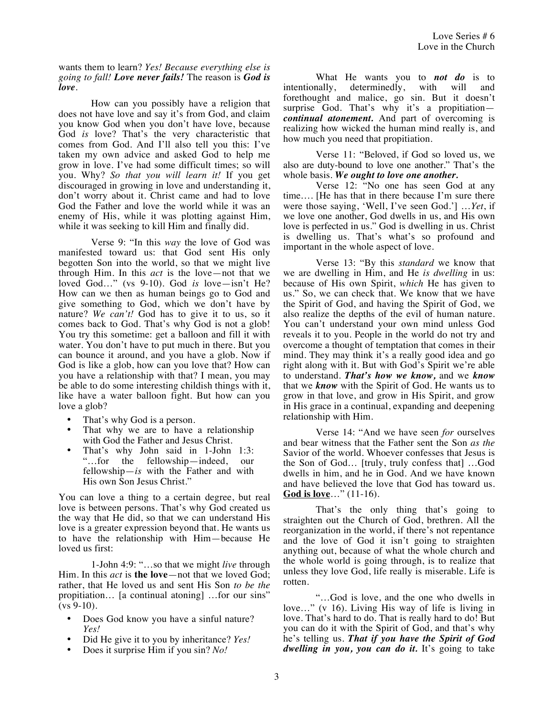## wants them to learn? *Yes! Because everything else is going to fall! Love never fails!* The reason is *God is love*.

How can you possibly have a religion that does not have love and say it's from God, and claim you know God when you don't have love, because God *is* love? That's the very characteristic that comes from God. And I'll also tell you this: I've taken my own advice and asked God to help me grow in love. I've had some difficult times; so will you. Why? *So that you will learn it!* If you get discouraged in growing in love and understanding it, don't worry about it. Christ came and had to love God the Father and love the world while it was an enemy of His, while it was plotting against Him, while it was seeking to kill Him and finally did.

Verse 9: "In this *way* the love of God was manifested toward us: that God sent His only begotten Son into the world, so that we might live through Him. In this *act* is the love—not that we loved God…" (vs 9-10). God *is* love—isn't He? How can we then as human beings go to God and give something to God, which we don't have by nature? *We can't!* God has to give it to us, so it comes back to God. That's why God is not a glob! You try this sometime: get a balloon and fill it with water. You don't have to put much in there. But you can bounce it around, and you have a glob. Now if God is like a glob, how can you love that? How can you have a relationship with that? I mean, you may be able to do some interesting childish things with it, like have a water balloon fight. But how can you love a glob?

- That's why God is a person.
- That why we are to have a relationship with God the Father and Jesus Christ.
- That's why John said in 1-John 1:3:<br>"...for the fellowship—indeed. our "...for the fellowship—indeed, fellowship—*is* with the Father and with His own Son Jesus Christ."

You can love a thing to a certain degree, but real love is between persons. That's why God created us the way that He did, so that we can understand His love is a greater expression beyond that. He wants us to have the relationship with Him—because He loved us first:

1-John 4:9: "…so that we might *live* through Him. In this *act* is **the love**—not that we loved God; rather, that He loved us and sent His Son *to be the* propitiation… [a continual atoning] …for our sins"  $(vs 9-10)$ .

- Does God know you have a sinful nature? *Yes!*
- Did He give it to you by inheritance? *Yes!*
- Does it surprise Him if you sin? *No!*

What He wants you to *not do* is to intentionally, determinedly, with will and forethought and malice, go sin. But it doesn't surprise God. That's why it's a propitiation*continual atonement.* And part of overcoming is realizing how wicked the human mind really is, and how much you need that propitiation.

Verse 11: "Beloved, if God so loved us, we also are duty-bound to love one another." That's the whole basis. *We ought to love one another.*

Verse 12: "No one has seen God at any time…. [He has that in there because I'm sure there were those saying, 'Well, I've seen God.'] …*Yet*, if we love one another, God dwells in us, and His own love is perfected in us." God is dwelling in us. Christ is dwelling us. That's what's so profound and important in the whole aspect of love.

Verse 13: "By this *standard* we know that we are dwelling in Him, and He *is dwelling* in us: because of His own Spirit, *which* He has given to us." So, we can check that. We know that we have the Spirit of God, and having the Spirit of God, we also realize the depths of the evil of human nature. You can't understand your own mind unless God reveals it to you. People in the world do not try and overcome a thought of temptation that comes in their mind. They may think it's a really good idea and go right along with it. But with God's Spirit we're able to understand. *That's how we know,* and we *know* that we *know* with the Spirit of God. He wants us to grow in that love, and grow in His Spirit, and grow in His grace in a continual, expanding and deepening relationship with Him.

Verse 14: "And we have seen *for* ourselves and bear witness that the Father sent the Son *as the* Savior of the world. Whoever confesses that Jesus is the Son of God… [truly, truly confess that] …God dwells in him, and he in God. And we have known and have believed the love that God has toward us. **God is love**…" (11-16).

That's the only thing that's going to straighten out the Church of God, brethren. All the reorganization in the world, if there's not repentance and the love of God it isn't going to straighten anything out, because of what the whole church and the whole world is going through, is to realize that unless they love God, life really is miserable. Life is rotten.

"…God is love, and the one who dwells in love…" (v 16). Living His way of life is living in love. That's hard to do. That is really hard to do! But you can do it with the Spirit of God, and that's why he's telling us. *That if you have the Spirit of God dwelling in you, you can do it.* It's going to take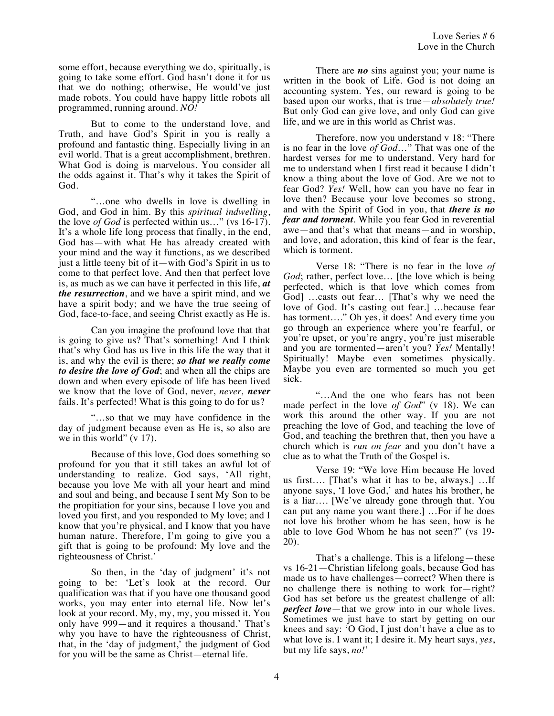some effort, because everything we do, spiritually, is going to take some effort. God hasn't done it for us that we do nothing; otherwise, He would've just made robots. You could have happy little robots all programmed, running around. *NO!*

But to come to the understand love, and Truth, and have God's Spirit in you is really a profound and fantastic thing. Especially living in an evil world. That is a great accomplishment, brethren. What God is doing is marvelous. You consider all the odds against it. That's why it takes the Spirit of God.

"…one who dwells in love is dwelling in God, and God in him. By this *spiritual indwelling*, the love *of God* is perfected within us…" (vs 16-17). It's a whole life long process that finally, in the end, God has—with what He has already created with your mind and the way it functions, as we described just a little teeny bit of it—with God's Spirit in us to come to that perfect love. And then that perfect love is, as much as we can have it perfected in this life, *at the resurrection*, and we have a spirit mind, and we have a spirit body; and we have the true seeing of God, face-to-face, and seeing Christ exactly as He is.

Can you imagine the profound love that that is going to give us? That's something! And I think that's why God has us live in this life the way that it is, and why the evil is there; *so that we really come to desire the love of God*; and when all the chips are down and when every episode of life has been lived we know that the love of God, never, *never, never*  fails. It's perfected! What is this going to do for us?

"…so that we may have confidence in the day of judgment because even as He is, so also are we in this world" (v 17).

Because of this love, God does something so profound for you that it still takes an awful lot of understanding to realize. God says, 'All right, because you love Me with all your heart and mind and soul and being, and because I sent My Son to be the propitiation for your sins, because I love you and loved you first, and you responded to My love; and I know that you're physical, and I know that you have human nature. Therefore, I'm going to give you a gift that is going to be profound: My love and the righteousness of Christ.'

So then, in the 'day of judgment' it's not going to be: 'Let's look at the record. Our qualification was that if you have one thousand good works, you may enter into eternal life. Now let's look at your record. My, my, my, you missed it. You only have 999—and it requires a thousand.' That's why you have to have the righteousness of Christ, that, in the 'day of judgment,' the judgment of God for you will be the same as Christ—eternal life.

There are *no* sins against you; your name is written in the book of Life. God is not doing an accounting system. Yes, our reward is going to be based upon our works, that is true—*absolutely true!* But only God can give love, and only God can give life, and we are in this world as Christ was.

Therefore, now you understand v 18: "There is no fear in the love *of God*…" That was one of the hardest verses for me to understand. Very hard for me to understand when I first read it because I didn't know a thing about the love of God. Are we not to fear God? *Yes!* Well, how can you have no fear in love then? Because your love becomes so strong, and with the Spirit of God in you, that *there is no fear and torment*. While you fear God in reverential awe—and that's what that means—and in worship, and love, and adoration, this kind of fear is the fear, which is torment.

Verse 18: "There is no fear in the love *of God*; rather, perfect love… [the love which is being perfected, which is that love which comes from God] …casts out fear… [That's why we need the love of God. It's casting out fear.] …because fear has torment…." Oh yes, it does! And every time you go through an experience where you're fearful, or you're upset, or you're angry, you're just miserable and you are tormented—aren't you? *Yes!* Mentally! Spiritually! Maybe even sometimes physically. Maybe you even are tormented so much you get sick.

"…And the one who fears has not been made perfect in the love *of God*" (v 18). We can work this around the other way. If you are not preaching the love of God, and teaching the love of God, and teaching the brethren that, then you have a church which is *run on fear* and you don't have a clue as to what the Truth of the Gospel is.

Verse 19: "We love Him because He loved us first…. [That's what it has to be, always.] …If anyone says, 'I love God,' and hates his brother, he is a liar…. [We've already gone through that. You can put any name you want there.] …For if he does not love his brother whom he has seen, how is he able to love God Whom he has not seen?" (vs 19- 20).

That's a challenge. This is a lifelong—these vs 16-21—Christian lifelong goals, because God has made us to have challenges—correct? When there is no challenge there is nothing to work for—right? God has set before us the greatest challenge of all: *perfect love*—that we grow into in our whole lives. Sometimes we just have to start by getting on our knees and say: 'O God, I just don't have a clue as to what love is. I want it; I desire it. My heart says, *yes*, but my life says, *no!*'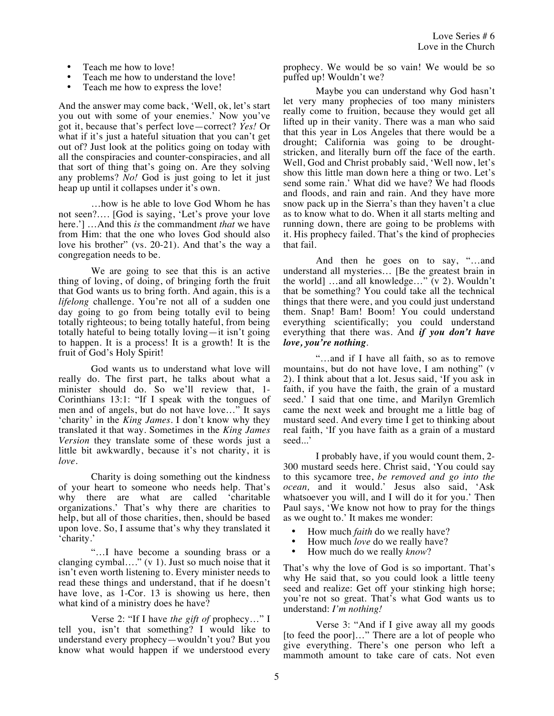- Teach me how to love!
- Teach me how to understand the love!
- Teach me how to express the love!

And the answer may come back, 'Well, ok, let's start you out with some of your enemies.' Now you've got it, because that's perfect love—correct? *Yes!* Or what if it's just a hateful situation that you can't get out of? Just look at the politics going on today with all the conspiracies and counter-conspiracies, and all that sort of thing that's going on. Are they solving any problems? *No!* God is just going to let it just heap up until it collapses under it's own.

…how is he able to love God Whom he has not seen?…. [God is saying, 'Let's prove your love here.'] …And this *is* the commandment *that* we have from Him: that the one who loves God should also love his brother" (vs. 20-21). And that's the way a congregation needs to be.

We are going to see that this is an active thing of loving, of doing, of bringing forth the fruit that God wants us to bring forth. And again, this is a *lifelong* challenge. You're not all of a sudden one day going to go from being totally evil to being totally righteous; to being totally hateful, from being totally hateful to being totally loving—it isn't going to happen. It is a process! It is a growth! It is the fruit of God's Holy Spirit!

God wants us to understand what love will really do. The first part, he talks about what a minister should do. So we'll review that, 1- Corinthians 13:1: "If I speak with the tongues of men and of angels, but do not have love…" It says 'charity' in the *King James.* I don't know why they translated it that way. Sometimes in the *King James Version* they translate some of these words just a little bit awkwardly, because it's not charity, it is *love.*

Charity is doing something out the kindness of your heart to someone who needs help. That's why there are what are called 'charitable organizations.' That's why there are charities to help, but all of those charities, then, should be based upon love. So, I assume that's why they translated it 'charity.'

...I have become a sounding brass or a clanging cymbal…." (v 1). Just so much noise that it isn't even worth listening to. Every minister needs to read these things and understand, that if he doesn't have love, as 1-Cor. 13 is showing us here, then what kind of a ministry does he have?

Verse 2: "If I have *the gift of* prophecy…" I tell you, isn't that something? I would like to understand every prophecy—wouldn't you? But you know what would happen if we understood every prophecy. We would be so vain! We would be so puffed up! Wouldn't we?

Maybe you can understand why God hasn't let very many prophecies of too many ministers really come to fruition, because they would get all lifted up in their vanity. There was a man who said that this year in Los Angeles that there would be a drought; California was going to be droughtstricken, and literally burn off the face of the earth. Well, God and Christ probably said, 'Well now, let's show this little man down here a thing or two. Let's send some rain.' What did we have? We had floods and floods, and rain and rain. And they have more snow pack up in the Sierra's than they haven't a clue as to know what to do. When it all starts melting and running down, there are going to be problems with it. His prophecy failed. That's the kind of prophecies that fail.

And then he goes on to say, "…and understand all mysteries… [Be the greatest brain in the world] …and all knowledge…" (v 2). Wouldn't that be something? You could take all the technical things that there were, and you could just understand them. Snap! Bam! Boom! You could understand everything scientifically; you could understand everything that there was. And *if you don't have love, you're nothing*.

"…and if I have all faith, so as to remove mountains, but do not have love, I am nothing" (v 2). I think about that a lot. Jesus said, 'If you ask in faith, if you have the faith, the grain of a mustard seed.' I said that one time, and Marilyn Gremlich came the next week and brought me a little bag of mustard seed. And every time I get to thinking about real faith, 'If you have faith as a grain of a mustard seed...'

I probably have, if you would count them, 2- 300 mustard seeds here. Christ said, 'You could say to this sycamore tree, *be removed and go into the ocean,* and it would.' Jesus also said, 'Ask whatsoever you will, and I will do it for you.' Then Paul says, 'We know not how to pray for the things as we ought to.' It makes me wonder:

- How much *faith* do we really have?
- How much *love* do we really have?
- How much do we really *know*?

That's why the love of God is so important. That's why He said that, so you could look a little teeny seed and realize: Get off your stinking high horse; you're not so great. That's what God wants us to understand: *I'm nothing!*

Verse 3: "And if I give away all my goods [to feed the poor]…" There are a lot of people who give everything. There's one person who left a mammoth amount to take care of cats. Not even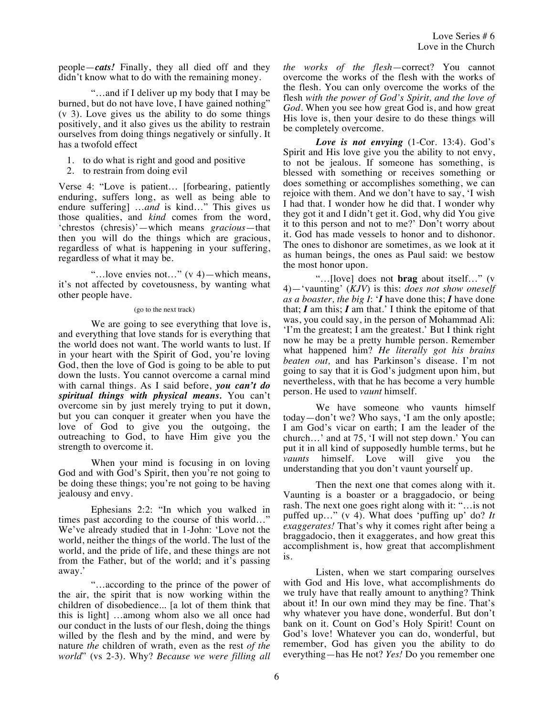people—*cats!* Finally, they all died off and they didn't know what to do with the remaining money.

"…and if I deliver up my body that I may be burned, but do not have love, I have gained nothing" (v 3). Love gives us the ability to do some things positively, and it also gives us the ability to restrain ourselves from doing things negatively or sinfully. It has a twofold effect

- 1. to do what is right and good and positive
- 2. to restrain from doing evil

Verse 4: "Love is patient… [forbearing, patiently enduring, suffers long, as well as being able to endure suffering] …*and* is kind…" This gives us those qualities, and *kind* comes from the word, 'chrestos (chresis)'—which means *gracious*—that then you will do the things which are gracious, regardless of what is happening in your suffering, regardless of what it may be.

"…love envies not…" (v 4)—which means, it's not affected by covetousness, by wanting what other people have.

## (go to the next track)

We are going to see everything that love is, and everything that love stands for is everything that the world does not want. The world wants to lust. If in your heart with the Spirit of God, you're loving God, then the love of God is going to be able to put down the lusts. You cannot overcome a carnal mind with carnal things. As I said before, *you can't do spiritual things with physical means.* You can't overcome sin by just merely trying to put it down, but you can conquer it greater when you have the love of God to give you the outgoing, the outreaching to God, to have Him give you the strength to overcome it.

When your mind is focusing in on loving God and with God's Spirit, then you're not going to be doing these things; you're not going to be having jealousy and envy.

Ephesians 2:2: "In which you walked in times past according to the course of this world…" We've already studied that in 1-John: 'Love not the world, neither the things of the world. The lust of the world, and the pride of life, and these things are not from the Father, but of the world; and it's passing away.'

"…according to the prince of the power of the air, the spirit that is now working within the children of disobedience... [a lot of them think that this is light] …among whom also we all once had our conduct in the lusts of our flesh, doing the things willed by the flesh and by the mind, and were by nature *the* children of wrath, even as the rest *of the world*" (vs 2-3). Why? *Because we were filling all*  *the works of the flesh*—correct? You cannot overcome the works of the flesh with the works of the flesh. You can only overcome the works of the flesh *with the power of God's Spirit, and the love of God.* When you see how great God is, and how great His love is, then your desire to do these things will be completely overcome.

*Love is not envying* (1-Cor. 13:4). God's Spirit and His love give you the ability to not envy, to not be jealous. If someone has something, is blessed with something or receives something or does something or accomplishes something, we can rejoice with them. And we don't have to say, 'I wish I had that. I wonder how he did that. I wonder why they got it and I didn't get it. God, why did You give it to this person and not to me?' Don't worry about it. God has made vessels to honor and to dishonor. The ones to dishonor are sometimes, as we look at it as human beings, the ones as Paul said: we bestow the most honor upon.

"…[love] does not **brag** about itself…" (v 4)—'vaunting' (*KJV*) is this: *does not show oneself as a boaster, the big I*: '*I* have done this; *I* have done that;  $I$  am this;  $I$  am that.' I think the epitome of that was, you could say, in the person of Mohammad Ali: 'I'm the greatest; I am the greatest.' But I think right now he may be a pretty humble person. Remember what happened him? *He literally got his brains beaten out,* and has Parkinson's disease. I'm not going to say that it is God's judgment upon him, but nevertheless, with that he has become a very humble person. He used to *vaunt* himself.

We have someone who vaunts himself today—don't we? Who says, 'I am the only apostle; I am God's vicar on earth; I am the leader of the church…' and at 75, 'I will not step down.' You can put it in all kind of supposedly humble terms, but he *vaunts* himself. Love will give you the understanding that you don't vaunt yourself up.

Then the next one that comes along with it. Vaunting is a boaster or a braggadocio, or being rash. The next one goes right along with it: "…is not puffed up…" (v 4). What does 'puffing up' do? *It exaggerates!* That's why it comes right after being a braggadocio, then it exaggerates, and how great this accomplishment is, how great that accomplishment is.

Listen, when we start comparing ourselves with God and His love, what accomplishments do we truly have that really amount to anything? Think about it! In our own mind they may be fine. That's why whatever you have done, wonderful. But don't bank on it. Count on God's Holy Spirit! Count on God's love! Whatever you can do, wonderful, but remember, God has given you the ability to do everything—has He not? *Yes!* Do you remember one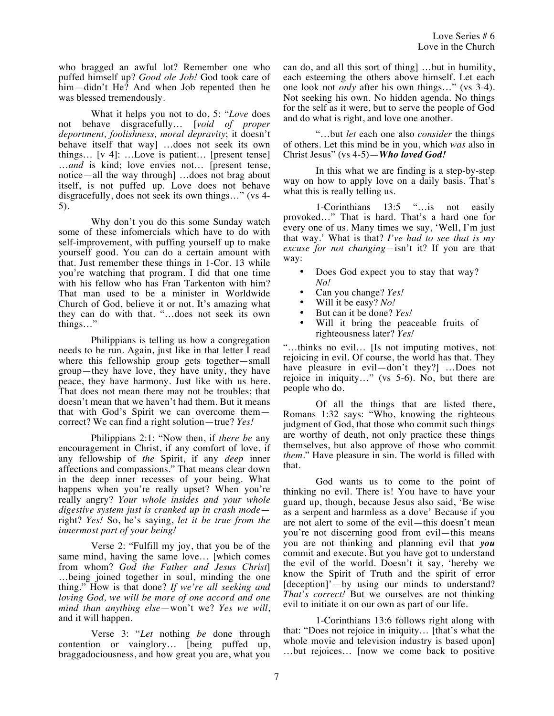who bragged an awful lot? Remember one who puffed himself up? *Good ole Job!* God took care of him—didn't He? And when Job repented then he was blessed tremendously.

What it helps you not to do, 5: "*Love* does not behave disgracefully… [*void of proper deportment, foolishness, moral depravity*; it doesn't behave itself that way] …does not seek its own things… [v 4]: …Love is patient… [present tense] …*and* is kind; love envies not… [present tense, notice—all the way through] …does not brag about itself, is not puffed up. Love does not behave disgracefully, does not seek its own things…" (vs 4- 5).

Why don't you do this some Sunday watch some of these infomercials which have to do with self-improvement, with puffing yourself up to make yourself good. You can do a certain amount with that. Just remember these things in 1-Cor. 13 while you're watching that program. I did that one time with his fellow who has Fran Tarkenton with him? That man used to be a minister in Worldwide Church of God, believe it or not. It's amazing what they can do with that. "…does not seek its own things…"

Philippians is telling us how a congregation needs to be run. Again, just like in that letter I read where this fellowship group gets together—small group—they have love, they have unity, they have peace, they have harmony. Just like with us here. That does not mean there may not be troubles; that doesn't mean that we haven't had them. But it means that with God's Spirit we can overcome them correct? We can find a right solution—true? *Yes!*

Philippians 2:1: "Now then, if *there be* any encouragement in Christ, if any comfort of love, if any fellowship of *the* Spirit, if any *deep* inner affections and compassions." That means clear down in the deep inner recesses of your being. What happens when you're really upset? When you're really angry? *Your whole insides and your whole digestive system just is cranked up in crash mode* right? *Yes!* So, he's saying, *let it be true from the innermost part of your being!*

Verse 2: "Fulfill my joy, that you be of the same mind, having the same love… [which comes from whom? *God the Father and Jesus Christ*] …being joined together in soul, minding the one thing." How is that done? *If we're all seeking and loving God, we will be more of one accord and one mind than anything else*—won't we? *Yes we will*, and it will happen.

Verse 3: "*Let* nothing *be* done through contention or vainglory… [being puffed up, braggadociousness, and how great you are, what you can do, and all this sort of thing] …but in humility, each esteeming the others above himself. Let each one look not *only* after his own things…" (vs 3-4). Not seeking his own. No hidden agenda. No things for the self as it were, but to serve the people of God and do what is right, and love one another.

"…but *let* each one also *consider* the things of others. Let this mind be in you, which *was* also in Christ Jesus" (vs 4-5)—*Who loved God!*

In this what we are finding is a step-by-step way on how to apply love on a daily basis. That's what this is really telling us.

1-Corinthians 13:5 "…is not easily provoked…" That is hard. That's a hard one for every one of us. Many times we say, 'Well, I'm just that way.' What is that? *I've had to see that is my excuse for not changing—*isn't it? If you are that way:

- Does God expect you to stay that way? *No!*
- Can you change? *Yes!*
- Will it be easy? *No!*
- But can it be done? *Yes!*
- Will it bring the peaceable fruits of righteousness later? *Yes!*

"…thinks no evil… [Is not imputing motives, not rejoicing in evil. Of course, the world has that. They have pleasure in evil—don't they?] …Does not rejoice in iniquity…" (vs 5-6). No, but there are people who do.

Of all the things that are listed there, Romans 1:32 says: "Who, knowing the righteous judgment of God, that those who commit such things are worthy of death, not only practice these things themselves, but also approve of those who commit *them*." Have pleasure in sin. The world is filled with that.

God wants us to come to the point of thinking no evil. There is! You have to have your guard up, though, because Jesus also said, 'Be wise as a serpent and harmless as a dove' Because if you are not alert to some of the evil—this doesn't mean you're not discerning good from evil—this means you are not thinking and planning evil that *you* commit and execute. But you have got to understand the evil of the world. Doesn't it say, 'hereby we know the Spirit of Truth and the spirit of error [deception]'—by using our minds to understand? *That's correct!* But we ourselves are not thinking evil to initiate it on our own as part of our life.

1-Corinthians 13:6 follows right along with that: "Does not rejoice in iniquity… [that's what the whole movie and television industry is based upon] …but rejoices… [now we come back to positive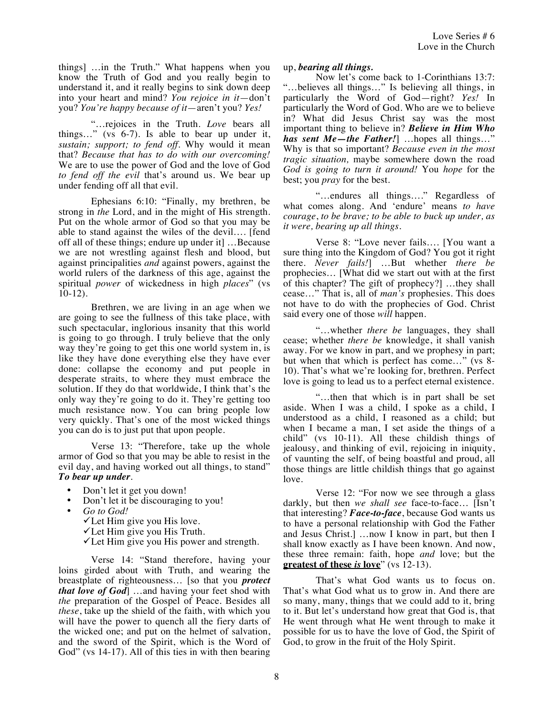things] …in the Truth." What happens when you know the Truth of God and you really begin to understand it, and it really begins to sink down deep into your heart and mind? *You rejoice in it*—don't you? *You're happy because of it*—aren't you? *Yes!*

"…rejoices in the Truth. *Love* bears all things…" (vs 6-7). Is able to bear up under it, *sustain; support; to fend off*. Why would it mean that? *Because that has to do with our overcoming!*  We are to use the power of God and the love of God *to fend off the evil* that's around us. We bear up under fending off all that evil.

Ephesians 6:10: "Finally, my brethren, be strong in *the* Lord, and in the might of His strength. Put on the whole armor of God so that you may be able to stand against the wiles of the devil…. [fend off all of these things; endure up under it] …Because we are not wrestling against flesh and blood, but against principalities *and* against powers, against the world rulers of the darkness of this age, against the spiritual *power* of wickedness in high *places*" (vs  $10-12$ ).

Brethren, we are living in an age when we are going to see the fullness of this take place, with such spectacular, inglorious insanity that this world is going to go through. I truly believe that the only way they're going to get this one world system in, is like they have done everything else they have ever done: collapse the economy and put people in desperate straits, to where they must embrace the solution. If they do that worldwide, I think that's the only way they're going to do it. They're getting too much resistance now. You can bring people low very quickly. That's one of the most wicked things you can do is to just put that upon people.

Verse 13: "Therefore, take up the whole armor of God so that you may be able to resist in the evil day, and having worked out all things, to stand" *To bear up under*.

- Don't let it get you down!
- Don't let it be discouraging to you!
- *Go to God!* 
	- $\checkmark$  Let Him give you His love.
	- $\checkmark$  Let Him give you His Truth.
	- $\checkmark$  Let Him give you His power and strength.

Verse 14: "Stand therefore, having your loins girded about with Truth, and wearing the breastplate of righteousness… [so that you *protect that love of God*] …and having your feet shod with *the* preparation of the Gospel of Peace. Besides all *these*, take up the shield of the faith, with which you will have the power to quench all the fiery darts of the wicked one; and put on the helmet of salvation, and the sword of the Spirit, which is the Word of God" (vs 14-17). All of this ties in with then bearing

## up, *bearing all things.*

Now let's come back to 1-Corinthians 13:7: "…believes all things…" Is believing all things, in particularly the Word of God—right? *Yes!* In particularly the Word of God. Who are we to believe in? What did Jesus Christ say was the most important thing to believe in? *Believe in Him Who has sent Me—the Father!*] …hopes all things…" Why is that so important? *Because even in the most tragic situation,* maybe somewhere down the road *God is going to turn it around!* You *hope* for the best; you *pray* for the best.

"…endures all things…." Regardless of what comes along. And 'endure' means *to have courage*, *to be brave; to be able to buck up under, as it were, bearing up all things.*

Verse 8: "Love never fails…. [You want a sure thing into the Kingdom of God? You got it right there. *Never fails!*] …But whether *there be*  prophecies… [What did we start out with at the first of this chapter? The gift of prophecy?] …they shall cease…" That is, all of *man's* prophesies. This does not have to do with the prophecies of God. Christ said every one of those *will* happen.

"…whether *there be* languages, they shall cease; whether *there be* knowledge, it shall vanish away. For we know in part, and we prophesy in part; but when that which is perfect has come…" (vs 8- 10). That's what we're looking for, brethren. Perfect love is going to lead us to a perfect eternal existence.

"…then that which is in part shall be set aside. When I was a child, I spoke as a child, I understood as a child, I reasoned as a child; but when I became a man, I set aside the things of a child" (vs 10-11). All these childish things of jealousy, and thinking of evil, rejoicing in iniquity, of vaunting the self, of being boastful and proud, all those things are little childish things that go against love.

Verse 12: "For now we see through a glass darkly, but then *we shall see* face-to-face… [Isn't that interesting? *Face-to-face*, because God wants us to have a personal relationship with God the Father and Jesus Christ.] …now I know in part, but then I shall know exactly as I have been known. And now, these three remain: faith, hope *and* love; but the **greatest of these is love**" (vs 12-13).

That's what God wants us to focus on. That's what God what us to grow in. And there are so many, many, things that we could add to it, bring to it. But let's understand how great that God is, that He went through what He went through to make it possible for us to have the love of God, the Spirit of God, to grow in the fruit of the Holy Spirit.